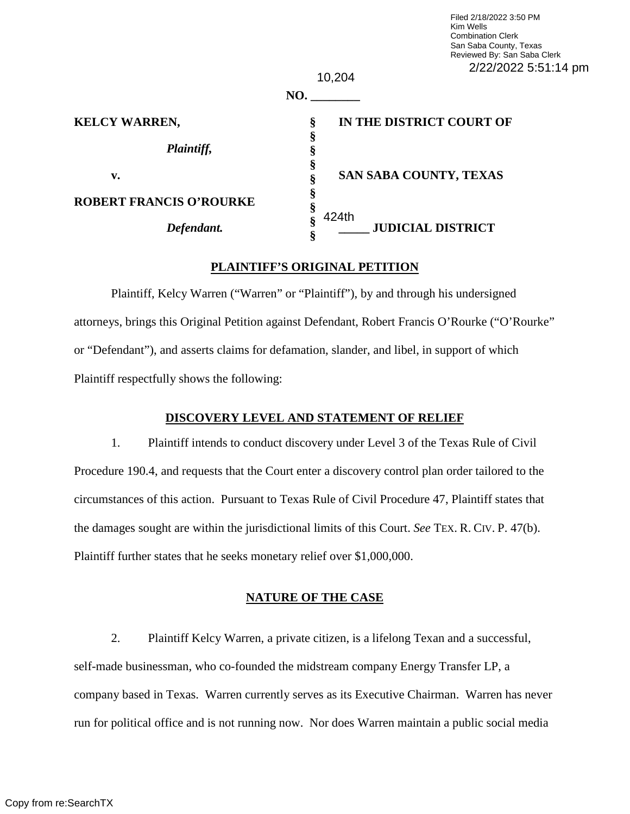| Filed 2/18/2022 3:50 PM     |
|-----------------------------|
| Kim Wells                   |
| <b>Combination Clerk</b>    |
| San Saba County, Texas      |
| Reviewed By: San Saba Clerk |
| 2/22/2022 5:51:14 pm        |

|                                | 10,204                             | 2/22/2022 |
|--------------------------------|------------------------------------|-----------|
|                                | NO.                                |           |
| <b>KELCY WARREN,</b>           | IN THE DISTRICT COURT OF<br>ş<br>§ |           |
| Plaintiff,                     |                                    |           |
| v.                             | SAN SABA COUNTY, TEXAS             |           |
| <b>ROBERT FRANCIS O'ROURKE</b> | §<br>424th                         |           |
| Defendant.                     | 8<br><b>JUDICIAL DISTRICT</b>      |           |

## **PLAINTIFF'S ORIGINAL PETITION**

Plaintiff, Kelcy Warren ("Warren" or "Plaintiff"), by and through his undersigned attorneys, brings this Original Petition against Defendant, Robert Francis O'Rourke ("O'Rourke" or "Defendant"), and asserts claims for defamation, slander, and libel, in support of which Plaintiff respectfully shows the following:

#### **DISCOVERY LEVEL AND STATEMENT OF RELIEF**

1. Plaintiff intends to conduct discovery under Level 3 of the Texas Rule of Civil Procedure 190.4, and requests that the Court enter a discovery control plan order tailored to the circumstances of this action. Pursuant to Texas Rule of Civil Procedure 47, Plaintiff states that the damages sought are within the jurisdictional limits of this Court. *See* TEX. R. CIV. P. 47(b). Plaintiff further states that he seeks monetary relief over \$1,000,000.

## **NATURE OF THE CASE**

2. Plaintiff Kelcy Warren, a private citizen, is a lifelong Texan and a successful, self-made businessman, who co-founded the midstream company Energy Transfer LP, a company based in Texas. Warren currently serves as its Executive Chairman. Warren has never run for political office and is not running now. Nor does Warren maintain a public social media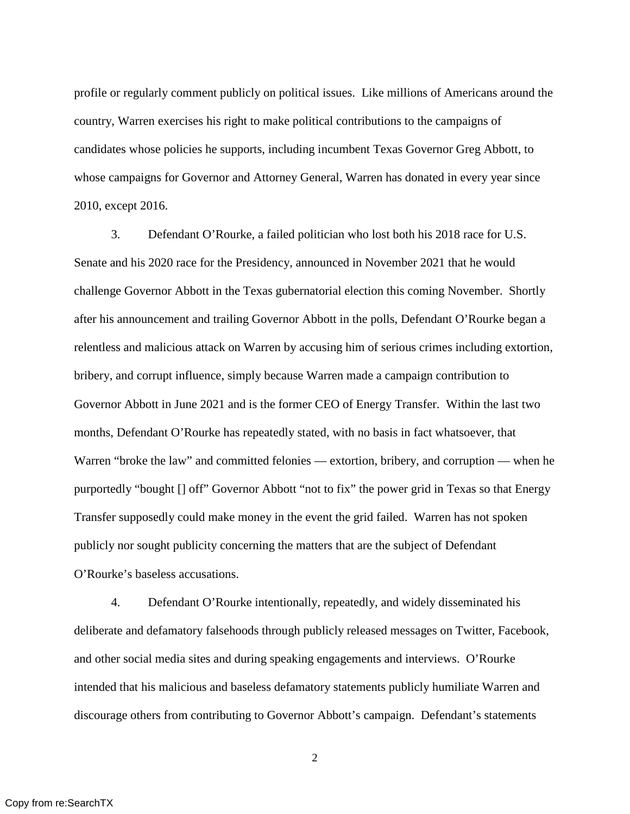profile or regularly comment publicly on political issues. Like millions of Americans around the country, Warren exercises his right to make political contributions to the campaigns of candidates whose policies he supports, including incumbent Texas Governor Greg Abbott, to whose campaigns for Governor and Attorney General, Warren has donated in every year since 2010, except 2016.

3. Defendant O'Rourke, a failed politician who lost both his 2018 race for U.S. Senate and his 2020 race for the Presidency, announced in November 2021 that he would challenge Governor Abbott in the Texas gubernatorial election this coming November. Shortly after his announcement and trailing Governor Abbott in the polls, Defendant O'Rourke began a relentless and malicious attack on Warren by accusing him of serious crimes including extortion, bribery, and corrupt influence, simply because Warren made a campaign contribution to Governor Abbott in June 2021 and is the former CEO of Energy Transfer. Within the last two months, Defendant O'Rourke has repeatedly stated, with no basis in fact whatsoever, that Warren "broke the law" and committed felonies — extortion, bribery, and corruption — when he purportedly "bought [] off" Governor Abbott "not to fix" the power grid in Texas so that Energy Transfer supposedly could make money in the event the grid failed. Warren has not spoken publicly nor sought publicity concerning the matters that are the subject of Defendant O'Rourke's baseless accusations.

4. Defendant O'Rourke intentionally, repeatedly, and widely disseminated his deliberate and defamatory falsehoods through publicly released messages on Twitter, Facebook, and other social media sites and during speaking engagements and interviews. O'Rourke intended that his malicious and baseless defamatory statements publicly humiliate Warren and discourage others from contributing to Governor Abbott's campaign. Defendant's statements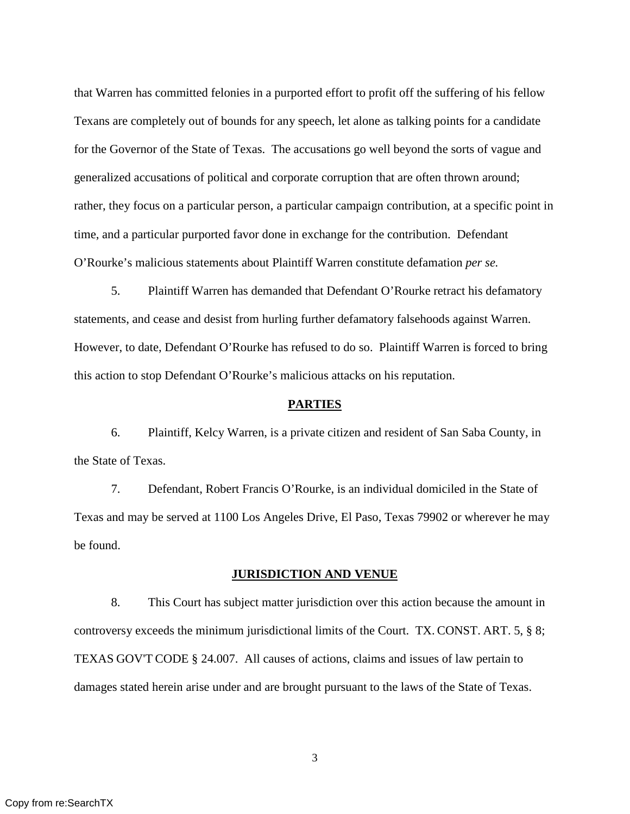that Warren has committed felonies in a purported effort to profit off the suffering of his fellow Texans are completely out of bounds for any speech, let alone as talking points for a candidate for the Governor of the State of Texas. The accusations go well beyond the sorts of vague and generalized accusations of political and corporate corruption that are often thrown around; rather, they focus on a particular person, a particular campaign contribution, at a specific point in time, and a particular purported favor done in exchange for the contribution. Defendant O'Rourke's malicious statements about Plaintiff Warren constitute defamation *per se.*

5. Plaintiff Warren has demanded that Defendant O'Rourke retract his defamatory statements, and cease and desist from hurling further defamatory falsehoods against Warren. However, to date, Defendant O'Rourke has refused to do so. Plaintiff Warren is forced to bring this action to stop Defendant O'Rourke's malicious attacks on his reputation.

#### **PARTIES**

6. Plaintiff, Kelcy Warren, is a private citizen and resident of San Saba County, in the State of Texas.

7. Defendant, Robert Francis O'Rourke, is an individual domiciled in the State of Texas and may be served at 1100 Los Angeles Drive, El Paso, Texas 79902 or wherever he may be found.

#### **JURISDICTION AND VENUE**

8. This Court has subject matter jurisdiction over this action because the amount in controversy exceeds the minimum jurisdictional limits of the Court. TX. CONST. ART. 5, § 8; TEXAS GOV'T CODE § 24.007. All causes of actions, claims and issues of law pertain to damages stated herein arise under and are brought pursuant to the laws of the State of Texas.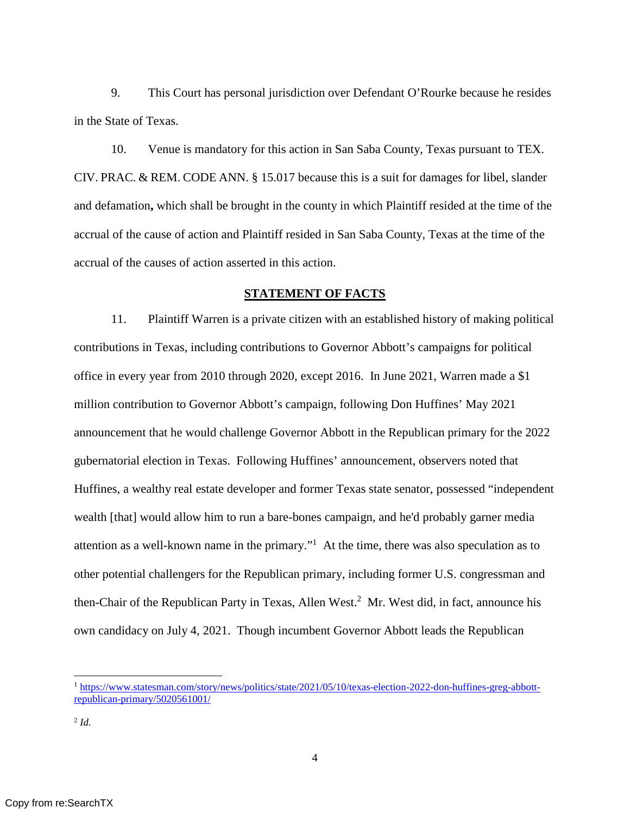9. This Court has personal jurisdiction over Defendant O'Rourke because he resides in the State of Texas.

10. Venue is mandatory for this action in San Saba County, Texas pursuant to TEX. CIV. PRAC. & REM. CODE ANN. § 15.017 because this is a suit for damages for libel, slander and defamation**,** which shall be brought in the county in which Plaintiff resided at the time of the accrual of the cause of action and Plaintiff resided in San Saba County, Texas at the time of the accrual of the causes of action asserted in this action.

#### **STATEMENT OF FACTS**

11. Plaintiff Warren is a private citizen with an established history of making political contributions in Texas, including contributions to Governor Abbott's campaigns for political office in every year from 2010 through 2020, except 2016. In June 2021, Warren made a \$1 million contribution to Governor Abbott's campaign, following Don Huffines' May 2021 announcement that he would challenge Governor Abbott in the Republican primary for the 2022 gubernatorial election in Texas. Following Huffines' announcement, observers noted that Huffines, a wealthy real estate developer and former Texas state senator, possessed "independent wealth [that] would allow him to run a bare-bones campaign, and he'd probably garner media attention as a well-known name in the primary."<sup>1</sup> At the time, there was also speculation as to other potential challengers for the Republican primary, including former U.S. congressman and then-Chair of the Republican Party in Texas, Allen West.<sup>2</sup> Mr. West did, in fact, announce his own candidacy on July 4, 2021. Though incumbent Governor Abbott leads the Republican

<sup>1</sup> https://www.statesman.com/story/news/politics/state/2021/05/10/texas-election-2022-don-huffines-greg-abbottrepublican-primary/5020561001/

<sup>2</sup> *Id.*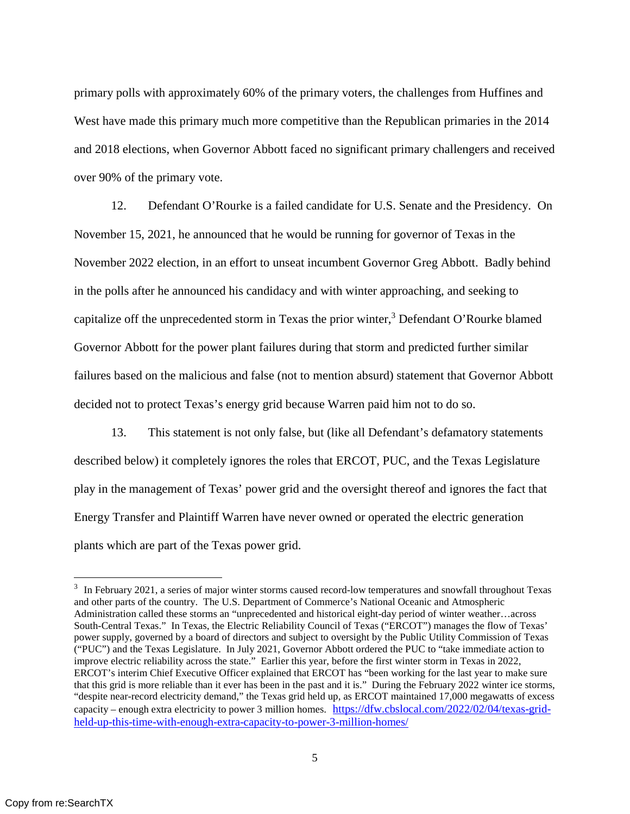primary polls with approximately 60% of the primary voters, the challenges from Huffines and West have made this primary much more competitive than the Republican primaries in the 2014 and 2018 elections, when Governor Abbott faced no significant primary challengers and received over 90% of the primary vote.

12. Defendant O'Rourke is a failed candidate for U.S. Senate and the Presidency. On November 15, 2021, he announced that he would be running for governor of Texas in the November 2022 election, in an effort to unseat incumbent Governor Greg Abbott. Badly behind in the polls after he announced his candidacy and with winter approaching, and seeking to capitalize off the unprecedented storm in Texas the prior winter,<sup>3</sup> Defendant O'Rourke blamed Governor Abbott for the power plant failures during that storm and predicted further similar failures based on the malicious and false (not to mention absurd) statement that Governor Abbott decided not to protect Texas's energy grid because Warren paid him not to do so.

13. This statement is not only false, but (like all Defendant's defamatory statements described below) it completely ignores the roles that ERCOT, PUC, and the Texas Legislature play in the management of Texas' power grid and the oversight thereof and ignores the fact that Energy Transfer and Plaintiff Warren have never owned or operated the electric generation plants which are part of the Texas power grid.

 $3\,$  In February 2021, a series of major winter storms caused record-low temperatures and snowfall throughout Texas and other parts of the country. The U.S. Department of Commerce's National Oceanic and Atmospheric Administration called these storms an "unprecedented and historical eight-day period of winter weather…across South-Central Texas." In Texas, the Electric Reliability Council of Texas ("ERCOT") manages the flow of Texas' power supply, governed by a board of directors and subject to oversight by the Public Utility Commission of Texas ("PUC") and the Texas Legislature. In July 2021, Governor Abbott ordered the PUC to "take immediate action to improve electric reliability across the state." Earlier this year, before the first winter storm in Texas in 2022, ERCOT's interim Chief Executive Officer explained that ERCOT has "been working for the last year to make sure that this grid is more reliable than it ever has been in the past and it is." During the February 2022 winter ice storms, "despite near-record electricity demand," the Texas grid held up, as ERCOT maintained 17,000 megawatts of excess capacity – enough extra electricity to power 3 million homes. https://dfw.cbslocal.com/2022/02/04/texas-gridheld-up-this-time-with-enough-extra-capacity-to-power-3-million-homes/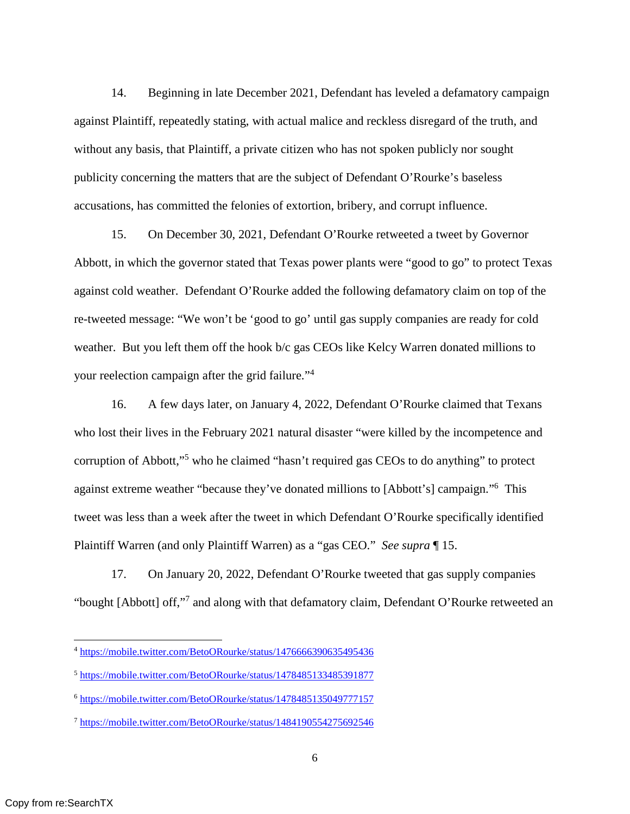14. Beginning in late December 2021, Defendant has leveled a defamatory campaign against Plaintiff, repeatedly stating, with actual malice and reckless disregard of the truth, and without any basis, that Plaintiff, a private citizen who has not spoken publicly nor sought publicity concerning the matters that are the subject of Defendant O'Rourke's baseless accusations, has committed the felonies of extortion, bribery, and corrupt influence.

15. On December 30, 2021, Defendant O'Rourke retweeted a tweet by Governor Abbott, in which the governor stated that Texas power plants were "good to go" to protect Texas against cold weather. Defendant O'Rourke added the following defamatory claim on top of the re-tweeted message: "We won't be 'good to go' until gas supply companies are ready for cold weather. But you left them off the hook b/c gas CEOs like Kelcy Warren donated millions to your reelection campaign after the grid failure."<sup>4</sup>

16. A few days later, on January 4, 2022, Defendant O'Rourke claimed that Texans who lost their lives in the February 2021 natural disaster "were killed by the incompetence and corruption of Abbott,"<sup>5</sup> who he claimed "hasn't required gas CEOs to do anything" to protect against extreme weather "because they've donated millions to [Abbott's] campaign."<sup>6</sup> This tweet was less than a week after the tweet in which Defendant O'Rourke specifically identified Plaintiff Warren (and only Plaintiff Warren) as a "gas CEO." *See supra* ¶ 15.

17. On January 20, 2022, Defendant O'Rourke tweeted that gas supply companies "bought [Abbott] off,"7 and along with that defamatory claim, Defendant O'Rourke retweeted an

<sup>4</sup> https://mobile.twitter.com/BetoORourke/status/1476666390635495436

<sup>5</sup> https://mobile.twitter.com/BetoORourke/status/1478485133485391877

<sup>6</sup> https://mobile.twitter.com/BetoORourke/status/1478485135049777157

<sup>7</sup> https://mobile.twitter.com/BetoORourke/status/1484190554275692546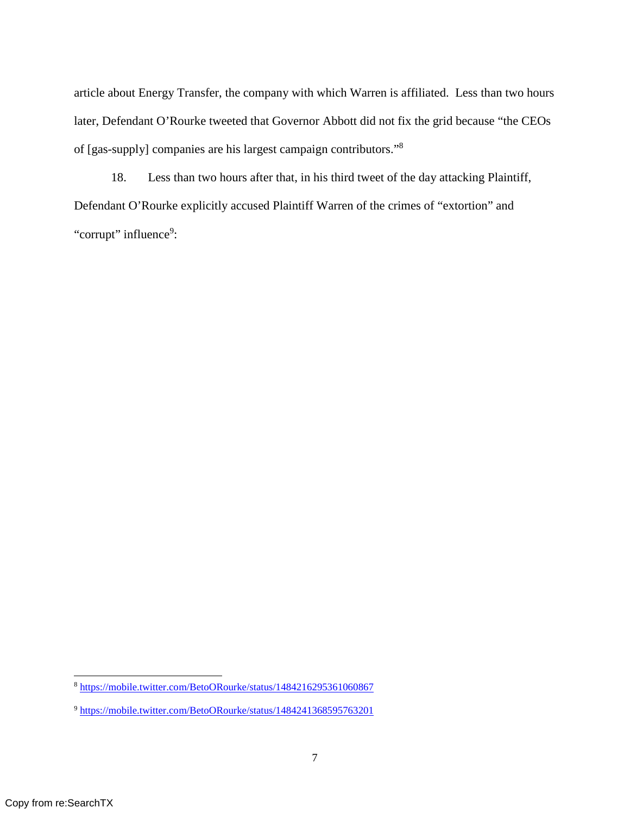article about Energy Transfer, the company with which Warren is affiliated. Less than two hours later, Defendant O'Rourke tweeted that Governor Abbott did not fix the grid because "the CEOs of [gas-supply] companies are his largest campaign contributors."<sup>8</sup>

18. Less than two hours after that, in his third tweet of the day attacking Plaintiff, Defendant O'Rourke explicitly accused Plaintiff Warren of the crimes of "extortion" and "corrupt" influence<sup>9</sup>:

<sup>8</sup> https://mobile.twitter.com/BetoORourke/status/1484216295361060867

<sup>9</sup> https://mobile.twitter.com/BetoORourke/status/1484241368595763201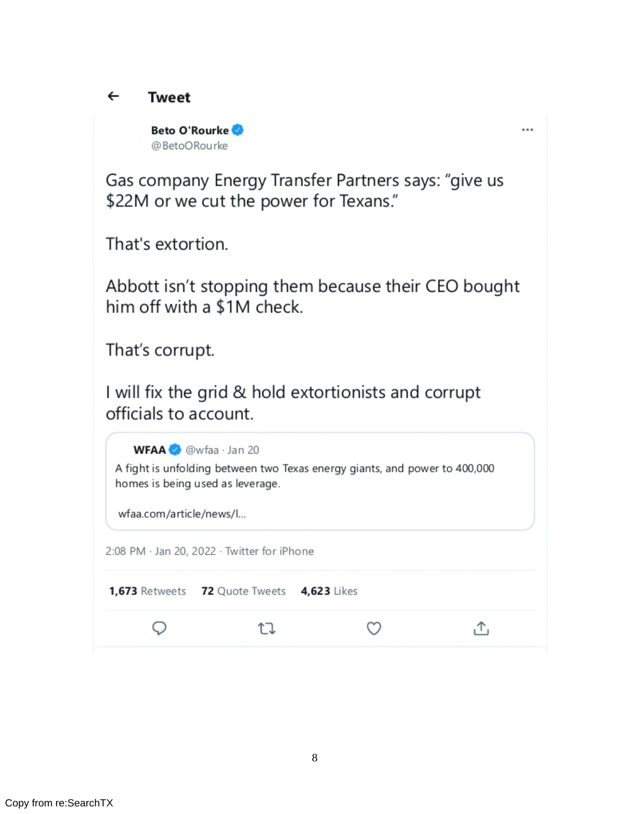#### $\leftarrow$ **Tweet**

Beto O'Rourke @BetoORourke

 $\cdots$ 

Gas company Energy Transfer Partners says: "give us \$22M or we cut the power for Texans."

That's extortion.

Abbott isn't stopping them because their CEO bought him off with a \$1M check.

That's corrupt.

I will fix the grid & hold extortionists and corrupt officials to account.

WFAA<sup>2</sup> @wfaa · Jan 20 A fight is unfolding between two Texas energy giants, and power to 400,000 homes is being used as leverage. wfaa.com/article/news/l... 2:08 PM · Jan 20, 2022 · Twitter for iPhone 1,673 Retweets 72 Quote Tweets 4,623 Likes Q  $\circlearrowleft$ 凸 乜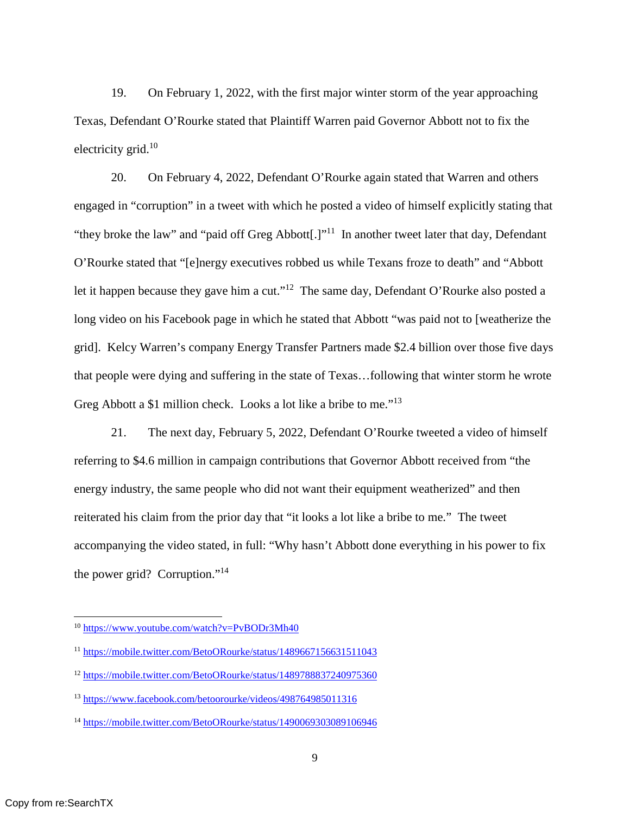19. On February 1, 2022, with the first major winter storm of the year approaching Texas, Defendant O'Rourke stated that Plaintiff Warren paid Governor Abbott not to fix the electricity grid. $10$ 

20. On February 4, 2022, Defendant O'Rourke again stated that Warren and others engaged in "corruption" in a tweet with which he posted a video of himself explicitly stating that "they broke the law" and "paid off Greg Abbott[.]"<sup>11</sup> In another tweet later that day, Defendant O'Rourke stated that "[e]nergy executives robbed us while Texans froze to death" and "Abbott let it happen because they gave him a cut."<sup>12</sup> The same day, Defendant O'Rourke also posted a long video on his Facebook page in which he stated that Abbott "was paid not to [weatherize the grid]. Kelcy Warren's company Energy Transfer Partners made \$2.4 billion over those five days that people were dying and suffering in the state of Texas…following that winter storm he wrote Greg Abbott a \$1 million check. Looks a lot like a bribe to me."<sup>13</sup>

21. The next day, February 5, 2022, Defendant O'Rourke tweeted a video of himself referring to \$4.6 million in campaign contributions that Governor Abbott received from "the energy industry, the same people who did not want their equipment weatherized" and then reiterated his claim from the prior day that "it looks a lot like a bribe to me." The tweet accompanying the video stated, in full: "Why hasn't Abbott done everything in his power to fix the power grid? Corruption."<sup>14</sup>

<sup>10</sup> https://www.youtube.com/watch?v=PvBODr3Mh40

<sup>11</sup> https://mobile.twitter.com/BetoORourke/status/1489667156631511043

<sup>12</sup> https://mobile.twitter.com/BetoORourke/status/1489788837240975360

<sup>13</sup> https://www.facebook.com/betoorourke/videos/498764985011316

<sup>&</sup>lt;sup>14</sup> https://mobile.twitter.com/BetoORourke/status/1490069303089106946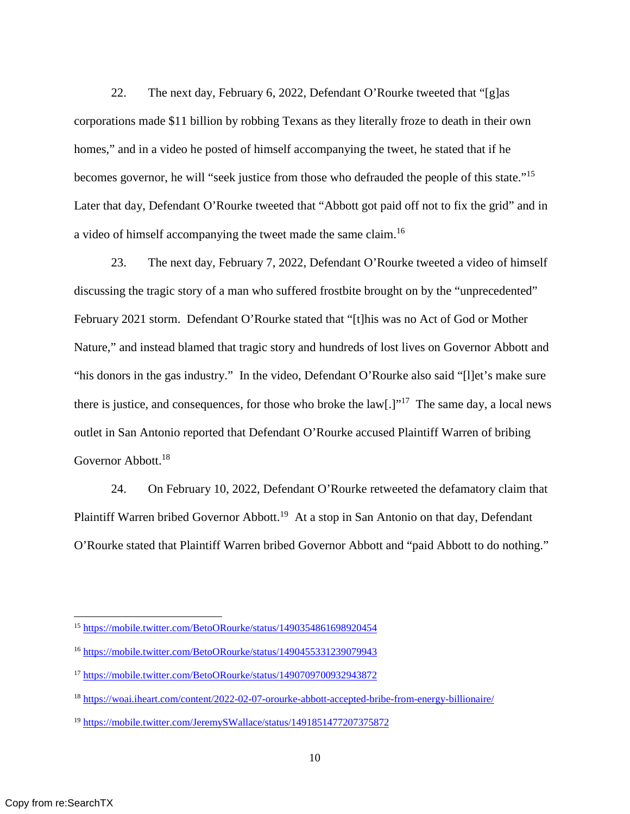22. The next day, February 6, 2022, Defendant O'Rourke tweeted that "[g]as corporations made \$11 billion by robbing Texans as they literally froze to death in their own homes," and in a video he posted of himself accompanying the tweet, he stated that if he becomes governor, he will "seek justice from those who defrauded the people of this state."<sup>15</sup> Later that day, Defendant O'Rourke tweeted that "Abbott got paid off not to fix the grid" and in a video of himself accompanying the tweet made the same claim.<sup>16</sup>

23. The next day, February 7, 2022, Defendant O'Rourke tweeted a video of himself discussing the tragic story of a man who suffered frostbite brought on by the "unprecedented" February 2021 storm. Defendant O'Rourke stated that "[t]his was no Act of God or Mother Nature," and instead blamed that tragic story and hundreds of lost lives on Governor Abbott and "his donors in the gas industry." In the video, Defendant O'Rourke also said "[l]et's make sure there is justice, and consequences, for those who broke the  $\text{law}[\cdot]]^{17}$  The same day, a local news outlet in San Antonio reported that Defendant O'Rourke accused Plaintiff Warren of bribing Governor Abbott.<sup>18</sup>

24. On February 10, 2022, Defendant O'Rourke retweeted the defamatory claim that Plaintiff Warren bribed Governor Abbott.<sup>19</sup> At a stop in San Antonio on that day, Defendant O'Rourke stated that Plaintiff Warren bribed Governor Abbott and "paid Abbott to do nothing."

<sup>15</sup> https://mobile.twitter.com/BetoORourke/status/1490354861698920454

<sup>16</sup> https://mobile.twitter.com/BetoORourke/status/1490455331239079943

<sup>17</sup> https://mobile.twitter.com/BetoORourke/status/1490709700932943872

<sup>18</sup> https://woai.iheart.com/content/2022-02-07-orourke-abbott-accepted-bribe-from-energy-billionaire/

<sup>19</sup> https://mobile.twitter.com/JeremySWallace/status/1491851477207375872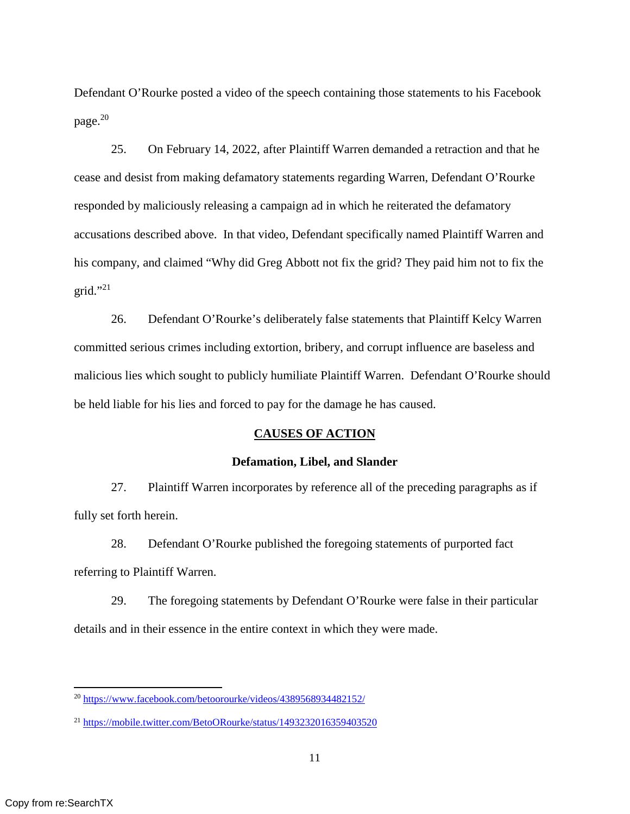Defendant O'Rourke posted a video of the speech containing those statements to his Facebook page.<sup>20</sup>

25. On February 14, 2022, after Plaintiff Warren demanded a retraction and that he cease and desist from making defamatory statements regarding Warren, Defendant O'Rourke responded by maliciously releasing a campaign ad in which he reiterated the defamatory accusations described above. In that video, Defendant specifically named Plaintiff Warren and his company, and claimed "Why did Greg Abbott not fix the grid? They paid him not to fix the grid." $^{21}$ 

26. Defendant O'Rourke's deliberately false statements that Plaintiff Kelcy Warren committed serious crimes including extortion, bribery, and corrupt influence are baseless and malicious lies which sought to publicly humiliate Plaintiff Warren. Defendant O'Rourke should be held liable for his lies and forced to pay for the damage he has caused.

#### **CAUSES OF ACTION**

#### **Defamation, Libel, and Slander**

27. Plaintiff Warren incorporates by reference all of the preceding paragraphs as if fully set forth herein.

28. Defendant O'Rourke published the foregoing statements of purported fact referring to Plaintiff Warren.

29. The foregoing statements by Defendant O'Rourke were false in their particular details and in their essence in the entire context in which they were made.

<sup>20</sup> https://www.facebook.com/betoorourke/videos/4389568934482152/

<sup>21</sup> https://mobile.twitter.com/BetoORourke/status/1493232016359403520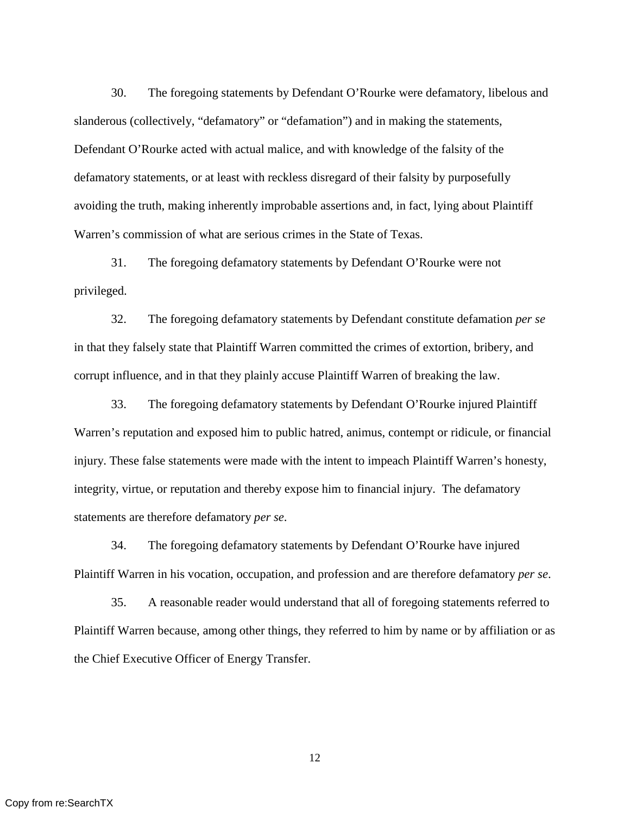30. The foregoing statements by Defendant O'Rourke were defamatory, libelous and slanderous (collectively, "defamatory" or "defamation") and in making the statements, Defendant O'Rourke acted with actual malice, and with knowledge of the falsity of the defamatory statements, or at least with reckless disregard of their falsity by purposefully avoiding the truth, making inherently improbable assertions and, in fact, lying about Plaintiff Warren's commission of what are serious crimes in the State of Texas.

31. The foregoing defamatory statements by Defendant O'Rourke were not privileged.

32. The foregoing defamatory statements by Defendant constitute defamation *per se* in that they falsely state that Plaintiff Warren committed the crimes of extortion, bribery, and corrupt influence, and in that they plainly accuse Plaintiff Warren of breaking the law.

33. The foregoing defamatory statements by Defendant O'Rourke injured Plaintiff Warren's reputation and exposed him to public hatred, animus, contempt or ridicule, or financial injury. These false statements were made with the intent to impeach Plaintiff Warren's honesty, integrity, virtue, or reputation and thereby expose him to financial injury. The defamatory statements are therefore defamatory *per se*.

34. The foregoing defamatory statements by Defendant O'Rourke have injured Plaintiff Warren in his vocation, occupation, and profession and are therefore defamatory *per se*.

35. A reasonable reader would understand that all of foregoing statements referred to Plaintiff Warren because, among other things, they referred to him by name or by affiliation or as the Chief Executive Officer of Energy Transfer.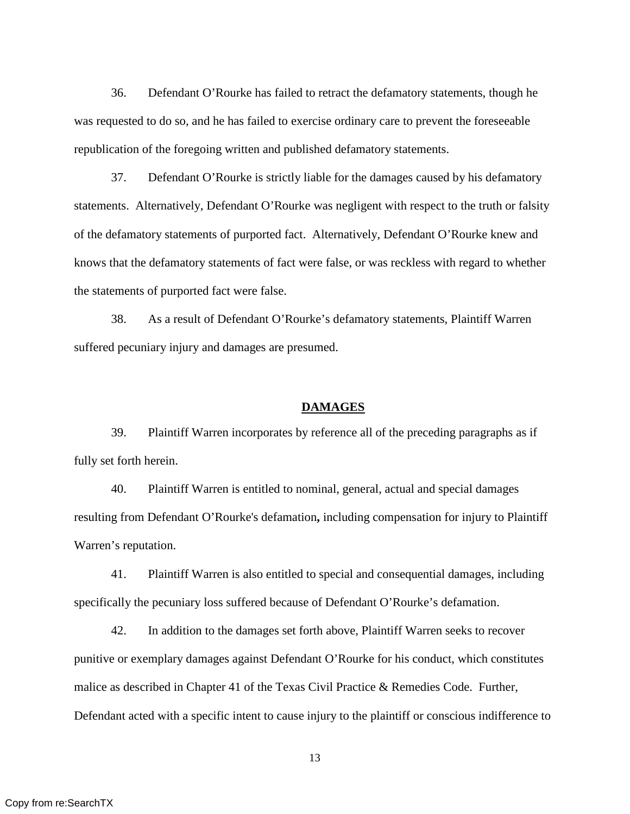36. Defendant O'Rourke has failed to retract the defamatory statements, though he was requested to do so, and he has failed to exercise ordinary care to prevent the foreseeable republication of the foregoing written and published defamatory statements.

37. Defendant O'Rourke is strictly liable for the damages caused by his defamatory statements. Alternatively, Defendant O'Rourke was negligent with respect to the truth or falsity of the defamatory statements of purported fact. Alternatively, Defendant O'Rourke knew and knows that the defamatory statements of fact were false, or was reckless with regard to whether the statements of purported fact were false.

38. As a result of Defendant O'Rourke's defamatory statements, Plaintiff Warren suffered pecuniary injury and damages are presumed.

#### **DAMAGES**

39. Plaintiff Warren incorporates by reference all of the preceding paragraphs as if fully set forth herein.

40. Plaintiff Warren is entitled to nominal, general, actual and special damages resulting from Defendant O'Rourke's defamation**,** including compensation for injury to Plaintiff Warren's reputation.

41. Plaintiff Warren is also entitled to special and consequential damages, including specifically the pecuniary loss suffered because of Defendant O'Rourke's defamation.

42. In addition to the damages set forth above, Plaintiff Warren seeks to recover punitive or exemplary damages against Defendant O'Rourke for his conduct, which constitutes malice as described in Chapter 41 of the Texas Civil Practice & Remedies Code. Further, Defendant acted with a specific intent to cause injury to the plaintiff or conscious indifference to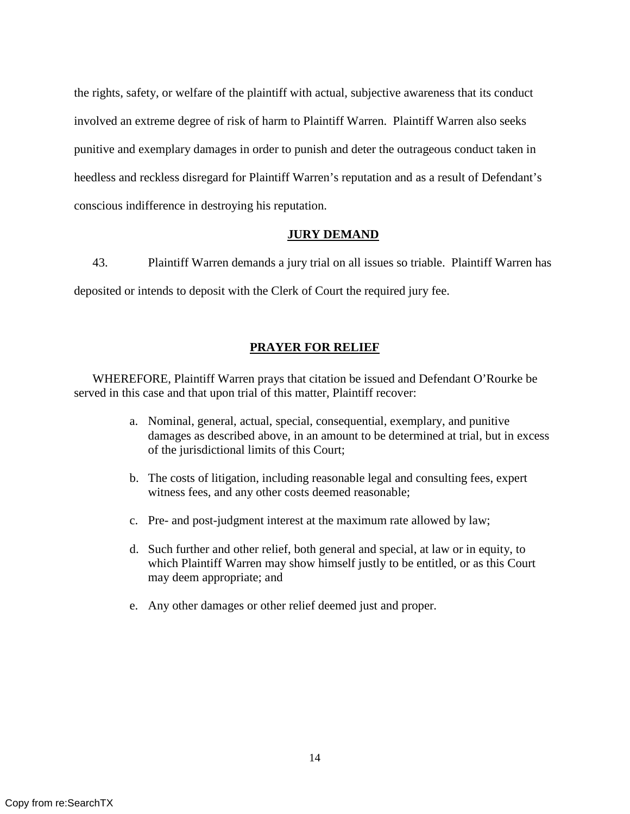the rights, safety, or welfare of the plaintiff with actual, subjective awareness that its conduct involved an extreme degree of risk of harm to Plaintiff Warren. Plaintiff Warren also seeks punitive and exemplary damages in order to punish and deter the outrageous conduct taken in heedless and reckless disregard for Plaintiff Warren's reputation and as a result of Defendant's conscious indifference in destroying his reputation.

## **JURY DEMAND**

43. Plaintiff Warren demands a jury trial on all issues so triable. Plaintiff Warren has deposited or intends to deposit with the Clerk of Court the required jury fee.

## **PRAYER FOR RELIEF**

 WHEREFORE, Plaintiff Warren prays that citation be issued and Defendant O'Rourke be served in this case and that upon trial of this matter, Plaintiff recover:

- a. Nominal, general, actual, special, consequential, exemplary, and punitive damages as described above, in an amount to be determined at trial, but in excess of the jurisdictional limits of this Court;
- b. The costs of litigation, including reasonable legal and consulting fees, expert witness fees, and any other costs deemed reasonable;
- c. Pre- and post-judgment interest at the maximum rate allowed by law;
- d. Such further and other relief, both general and special, at law or in equity, to which Plaintiff Warren may show himself justly to be entitled, or as this Court may deem appropriate; and
- e. Any other damages or other relief deemed just and proper.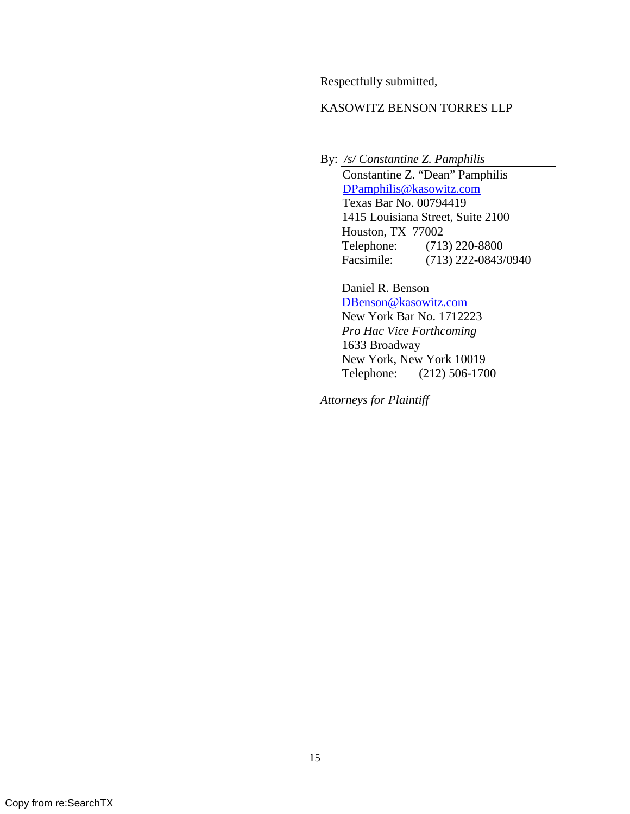Respectfully submitted,

## KASOWITZ BENSON TORRES LLP

By: */s/ Constantine Z. Pamphilis*  Constantine Z. "Dean" Pamphilis DPamphilis@kasowitz.com Texas Bar No. 00794419 1415 Louisiana Street, Suite 2100 Houston, TX 77002 Telephone: (713) 220-8800 Facsimile: (713) 222-0843/0940

 Daniel R. Benson DBenson@kasowitz.com New York Bar No. 1712223 *Pro Hac Vice Forthcoming*  1633 Broadway New York, New York 10019 Telephone: (212) 506-1700

*Attorneys for Plaintiff*